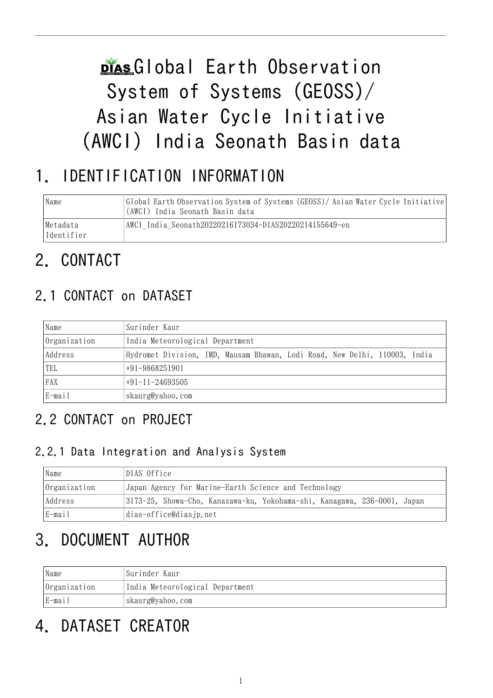# plas Global Earth Observation System of Systems (GEOSS)/ Asian Water Cycle Initiative (AWCI) India Seonath Basin data

# 1. IDENTIFICATION INFORMATION

| Name                                                                              | Global Earth Observation System of Systems (GEOSS)/Asian Water Cycle Initiative<br>(AWCI) India Seonath Basin data |
|-----------------------------------------------------------------------------------|--------------------------------------------------------------------------------------------------------------------|
| AWCI India Seonath20220216173034-DIAS20220214155649-en<br> Metadata<br>Identifier |                                                                                                                    |

# 2. CONTACT

## 2.1 CONTACT on DATASET

| Name         | Surinder Kaur                                                              |  |  |
|--------------|----------------------------------------------------------------------------|--|--|
| Organization | India Meteorological Department                                            |  |  |
| Address      | Hydromet Division, IMD, Mausam Bhawan, Lodi Road, New Delhi, 110003, India |  |  |
| TEL          | $+91 - 9868251901$                                                         |  |  |
| FAX          | $+91-11-24693505$                                                          |  |  |
| $E$ -mail    | skaurg@yahoo.com                                                           |  |  |

## 2.2 CONTACT on PROJECT

### 2.2.1 Data Integration and Analysis System

| Name         | DIAS Office                                                              |  |  |
|--------------|--------------------------------------------------------------------------|--|--|
| Organization | Japan Agency for Marine-Earth Science and Technology                     |  |  |
| Address      | 3173-25, Showa-Cho, Kanazawa-ku, Yokohama-shi, Kanagawa, 236-0001, Japan |  |  |
| E-mail       | dias-office@diasjp.net                                                   |  |  |

# 3. DOCUMENT AUTHOR

| Name         | Surinder Kaur                   |  |
|--------------|---------------------------------|--|
| Organization | India Meteorological Department |  |
| E-mail       | skaurg@yahoo.com                |  |

# 4. DATASET CREATOR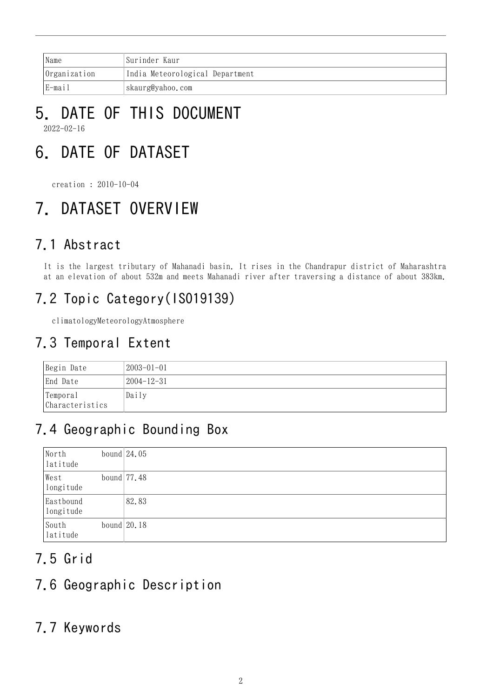| 'Name        | Surinder Kaur                   |
|--------------|---------------------------------|
| Organization | India Meteorological Department |
| E-mail       | skaurg@yahoo.com                |

### 5. DATE OF THIS DOCUMENT 2022-02-16

# 6. DATE OF DATASET

creation : 2010-10-04

# 7. DATASET OVERVIEW

## 7.1 Abstract

It is the largest tributary of Mahanadi basin. It rises in the Chandrapur district of Maharashtra at an elevation of about 532m and meets Mahanadi river after traversing a distance of about 383km.

## 7.2 Topic Category(ISO19139)

climatologyMeteorologyAtmosphere

### 7.3 Temporal Extent

| Begin Date                  | $ 2003 - 01 - 01 $ |
|-----------------------------|--------------------|
| End Date                    | 2004–12–31         |
| Temporal<br>Characteristics | Daily              |

## 7.4 Geographic Bounding Box

| North<br>latitude      | bound $24.05$  |
|------------------------|----------------|
| West<br>longitude      | bound $77.48$  |
| Eastbound<br>longitude | 82.83          |
| South<br>latitude      | bound $ 20.18$ |

## 7.5 Grid

### 7.6 Geographic Description

### 7.7 Keywords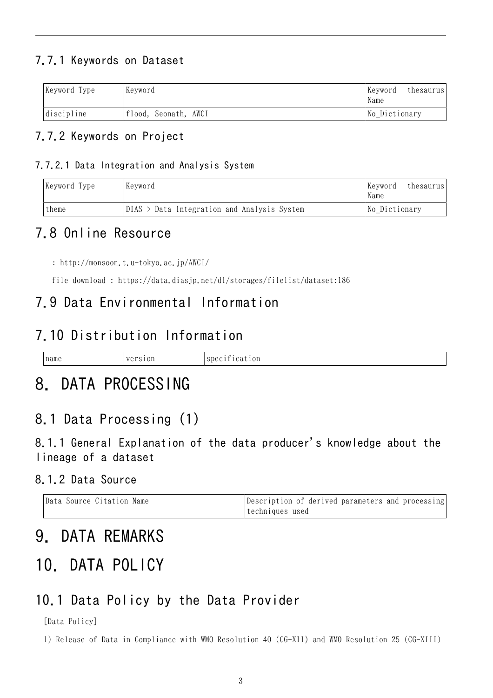### 7.7.1 Keywords on Dataset

| Keyword Type | Keyword              | Keyword<br>Name | thesaurus |
|--------------|----------------------|-----------------|-----------|
| discipline   | flood, Seonath, AWCI | No Dictionary   |           |

#### 7.7.2 Keywords on Project

#### 7.7.2.1 Data Integration and Analysis System

|       | Keyword Type | Keyword                                     | Kevword<br>Name | thesaurusl |
|-------|--------------|---------------------------------------------|-----------------|------------|
| theme |              | DIAS > Data Integration and Analysis System | No Dictionary   |            |

### 7.8 Online Resource

: <http://monsoon.t.u-tokyo.ac.jp/AWCI/>

file download : <https://data.diasjp.net/dl/storages/filelist/dataset:186>

### 7.9 Data Environmental Information

### 7.10 Distribution Information

| name<br>$\sim$ $\sim$ $\sim$<br>$\sqrt{2}$<br>10I.<br>$\cdots$<br>the contract of the contract of the<br>the contract of the contract of the contract of | l ON<br>3DP.<br>$\sim$<br>the contract of the contract of the contract of the contract of the contract of |
|----------------------------------------------------------------------------------------------------------------------------------------------------------|-----------------------------------------------------------------------------------------------------------|
|----------------------------------------------------------------------------------------------------------------------------------------------------------|-----------------------------------------------------------------------------------------------------------|

# 8. DATA PROCESSING

### 8.1 Data Processing (1)

8.1.1 General Explanation of the data producer's knowledge about the lineage of a dataset

#### 8.1.2 Data Source

| Data Source Citation Name | Description of derived parameters and processing |
|---------------------------|--------------------------------------------------|
|                           | techniques used                                  |

## 9. DATA REMARKS

# 10. DATA POLICY

### 10.1 Data Policy by the Data Provider

[Data Policy]

1) Release of Data in Compliance with WMO Resolution 40 (CG-XII) and WMO Resolution 25 (CG-XIII)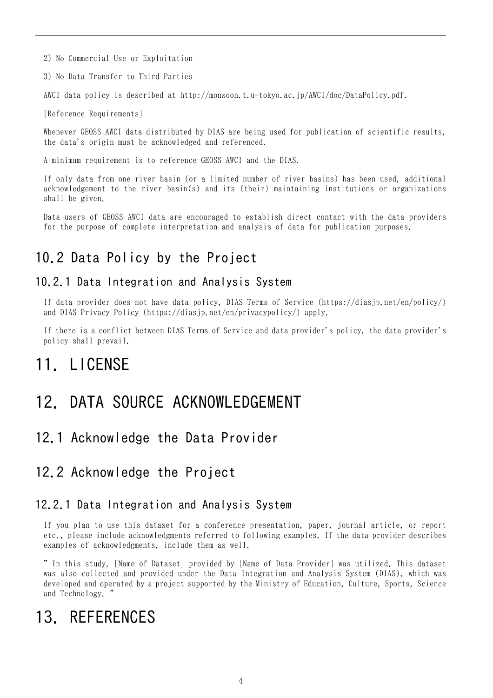2) No Commercial Use or Exploitation

3) No Data Transfer to Third Parties

AWCI data policy is described at http://monsoon.t.u-tokyo.ac.jp/AWCI/doc/DataPolicy.pdf.

[Reference Requirements]

Whenever GEOSS AWCI data distributed by DIAS are being used for publication of scientific results, the data's origin must be acknowledged and referenced.

A minimum requirement is to reference GEOSS AWCI and the DIAS.

If only data from one river basin (or a limited number of river basins) has been used, additional acknowledgement to the river basin(s) and its (their) maintaining institutions or organizations shall be given.

Data users of GEOSS AWCI data are encouraged to establish direct contact with the data providers for the purpose of complete interpretation and analysis of data for publication purposes.

### 10.2 Data Policy by the Project

#### 10.2.1 Data Integration and Analysis System

If data provider does not have data policy, DIAS Terms of Service (https://diasjp.net/en/policy/) and DIAS Privacy Policy (https://diasjp.net/en/privacypolicy/) apply.

If there is a conflict between DIAS Terms of Service and data provider's policy, the data provider's policy shall prevail.

## 11 LICENSE

### 12. DATA SOURCE ACKNOWLEDGEMENT

12.1 Acknowledge the Data Provider

### 12.2 Acknowledge the Project

#### 12.2.1 Data Integration and Analysis System

If you plan to use this dataset for a conference presentation, paper, journal article, or report etc., please include acknowledgments referred to following examples. If the data provider describes examples of acknowledgments, include them as well.

" In this study, [Name of Dataset] provided by [Name of Data Provider] was utilized. This dataset was also collected and provided under the Data Integration and Analysis System (DIAS), which was developed and operated by a project supported by the Ministry of Education, Culture, Sports, Science and Technology. "

# 13. REFERENCES